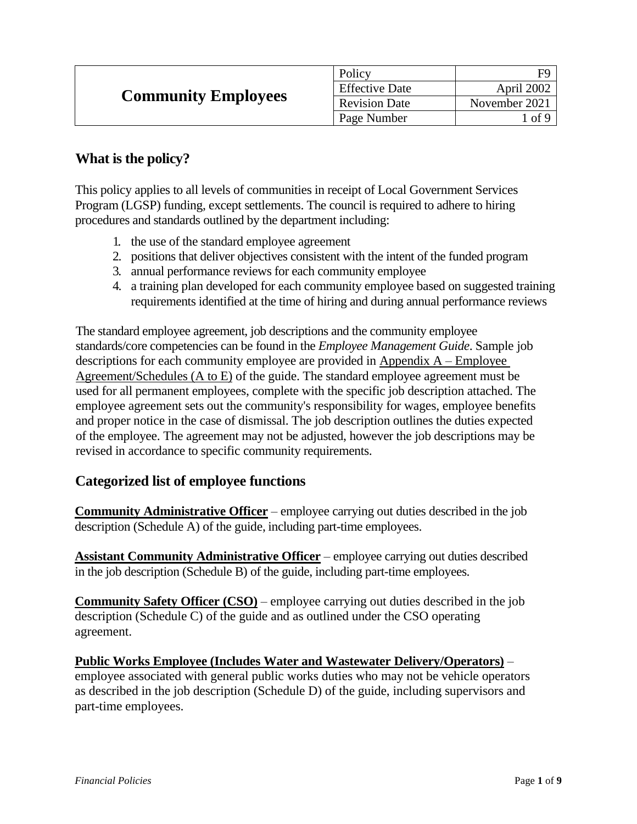| <b>Community Employees</b> | Policy                |               |
|----------------------------|-----------------------|---------------|
|                            | <b>Effective Date</b> | April 2002    |
|                            | <b>Revision Date</b>  | November 2021 |
|                            | Page Number           | l of 9        |

### **What is the policy?**

This policy applies to all levels of communities in receipt of Local Government Services Program (LGSP) funding, except settlements. The council is required to adhere to hiring procedures and standards outlined by the department including:

- 1. the use of the standard employee agreement
- 2. positions that deliver objectives consistent with the intent of the funded program
- 3. annual performance reviews for each community employee
- 4. a training plan developed for each community employee based on suggested training requirements identified at the time of hiring and during annual performance reviews

The standard employee agreement, job descriptions and the community employee standards/core competencies can be found in the *Employee Management Guide*. Sample job descriptions for each community employee are provided in Appendix A – Employee Agreement/Schedules (A to E) of the guide. The standard employee agreement must be used for all permanent employees, complete with the specific job description attached. The employee agreement sets out the community's responsibility for wages, employee benefits and proper notice in the case of dismissal. The job description outlines the duties expected of the employee. The agreement may not be adjusted, however the job descriptions may be revised in accordance to specific community requirements.

### **Categorized list of employee functions**

**Community Administrative Officer** – employee carrying out duties described in the job description (Schedule A) of the guide, including part-time employees.

**Assistant Community Administrative Officer** – employee carrying out duties described in the job description (Schedule B) of the guide, including part-time employees.

**Community Safety Officer (CSO)** – employee carrying out duties described in the job description (Schedule C) of the guide and as outlined under the CSO operating agreement.

**Public Works Employee (Includes Water and Wastewater Delivery/Operators)** – employee associated with general public works duties who may not be vehicle operators as described in the job description (Schedule D) of the guide, including supervisors and part-time employees.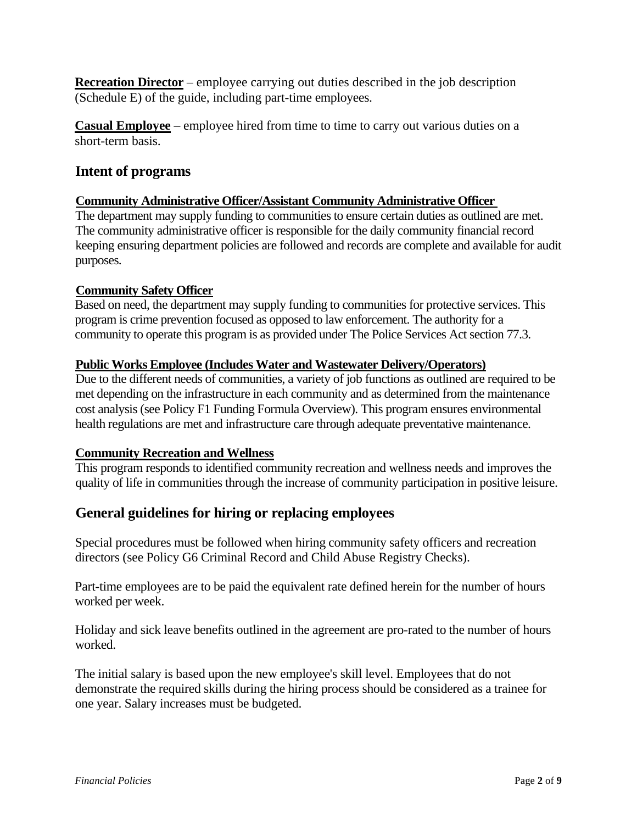**Recreation Director** – employee carrying out duties described in the job description (Schedule E) of the guide, including part-time employees.

**Casual Employee** – employee hired from time to time to carry out various duties on a short-term basis.

# **Intent of programs**

### **Community Administrative Officer/Assistant Community Administrative Officer**

The department may supply funding to communities to ensure certain duties as outlined are met. The community administrative officer is responsible for the daily community financial record keeping ensuring department policies are followed and records are complete and available for audit purposes.

### **Community Safety Officer**

Based on need, the department may supply funding to communities for protective services. This program is crime prevention focused as opposed to law enforcement. The authority for a community to operate this program is as provided under The Police Services Act section 77.3.

### **Public Works Employee (Includes Water and Wastewater Delivery/Operators)**

Due to the different needs of communities, a variety of job functions as outlined are required to be met depending on the infrastructure in each community and as determined from the maintenance cost analysis (see Policy F1 Funding Formula Overview). This program ensures environmental health regulations are met and infrastructure care through adequate preventative maintenance.

#### **Community Recreation and Wellness**

This program responds to identified community recreation and wellness needs and improves the quality of life in communities through the increase of community participation in positive leisure.

## **General guidelines for hiring or replacing employees**

Special procedures must be followed when hiring community safety officers and recreation directors (see Policy G6 Criminal Record and Child Abuse Registry Checks).

Part-time employees are to be paid the equivalent rate defined herein for the number of hours worked per week.

Holiday and sick leave benefits outlined in the agreement are pro-rated to the number of hours worked.

The initial salary is based upon the new employee's skill level. Employees that do not demonstrate the required skills during the hiring process should be considered as a trainee for one year. Salary increases must be budgeted.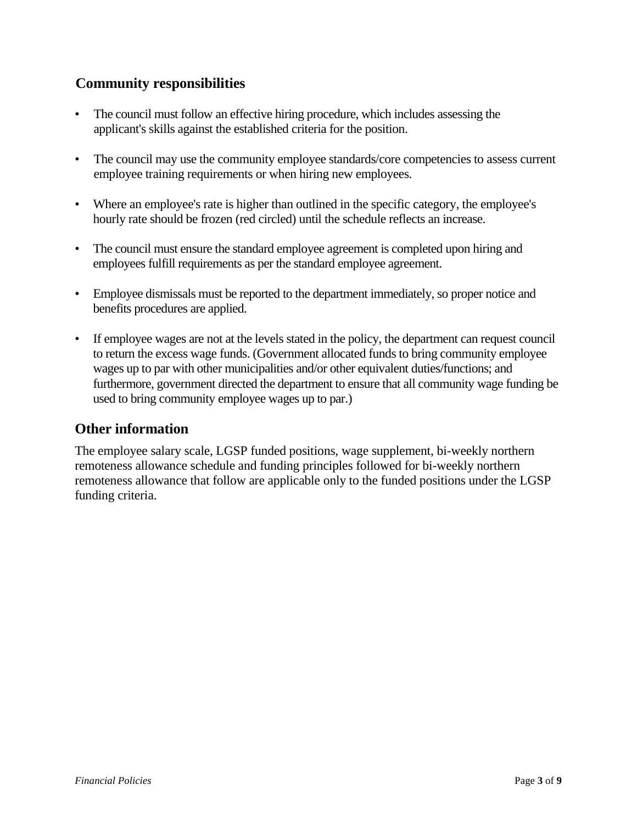# **Community responsibilities**

- The council must follow an effective hiring procedure, which includes assessing the applicant's skills against the established criteria for the position.
- The council may use the community employee standards/core competencies to assess current employee training requirements or when hiring new employees.
- Where an employee's rate is higher than outlined in the specific category, the employee's hourly rate should be frozen (red circled) until the schedule reflects an increase.
- The council must ensure the standard employee agreement is completed upon hiring and employees fulfill requirements as per the standard employee agreement.
- Employee dismissals must be reported to the department immediately, so proper notice and benefits procedures are applied.
- If employee wages are not at the levels stated in the policy, the department can request council to return the excess wage funds. (Government allocated funds to bring community employee wages up to par with other municipalities and/or other equivalent duties/functions; and furthermore, government directed the department to ensure that all community wage funding be used to bring community employee wages up to par.)

## **Other information**

The employee salary scale, LGSP funded positions, wage supplement, bi-weekly northern remoteness allowance schedule and funding principles followed for bi-weekly northern remoteness allowance that follow are applicable only to the funded positions under the LGSP funding criteria.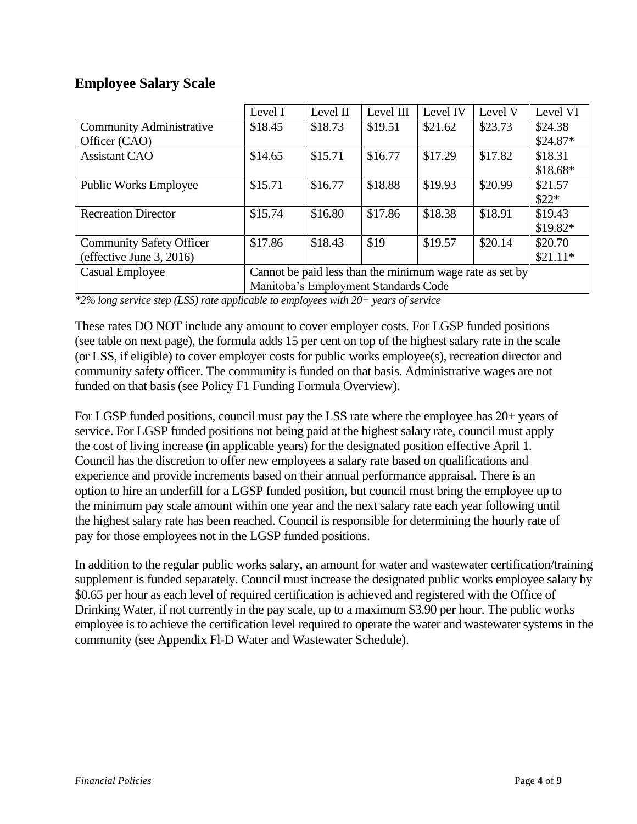### **Employee Salary Scale**

|                                 | Level I                                                  | Level $\Pi$ | Level III | Level IV | Level V | Level VI  |
|---------------------------------|----------------------------------------------------------|-------------|-----------|----------|---------|-----------|
| <b>Community Administrative</b> | \$18.45                                                  | \$18.73     | \$19.51   | \$21.62  | \$23.73 | \$24.38   |
| Officer (CAO)                   |                                                          |             |           |          |         | $$24.87*$ |
| <b>Assistant CAO</b>            | \$14.65                                                  | \$15.71     | \$16.77   | \$17.29  | \$17.82 | \$18.31   |
|                                 |                                                          |             |           |          |         | $$18.68*$ |
| <b>Public Works Employee</b>    | \$15.71                                                  | \$16.77     | \$18.88   | \$19.93  | \$20.99 | \$21.57   |
|                                 |                                                          |             |           |          |         | $$22*$    |
| <b>Recreation Director</b>      | \$15.74                                                  | \$16.80     | \$17.86   | \$18.38  | \$18.91 | \$19.43   |
|                                 |                                                          |             |           |          |         | $$19.82*$ |
| <b>Community Safety Officer</b> | \$17.86                                                  | \$18.43     | \$19      | \$19.57  | \$20.14 | \$20.70   |
| (effective June 3, 2016)        |                                                          |             |           |          |         | $$21.11*$ |
| Casual Employee                 | Cannot be paid less than the minimum wage rate as set by |             |           |          |         |           |
|                                 | Manitoba's Employment Standards Code                     |             |           |          |         |           |

*\*2% long service step (LSS) rate applicable to employees with 20+ years of service*

These rates DO NOT include any amount to cover employer costs. For LGSP funded positions (see table on next page), the formula adds 15 per cent on top of the highest salary rate in the scale (or LSS, if eligible) to cover employer costs for public works employee(s), recreation director and community safety officer. The community is funded on that basis. Administrative wages are not funded on that basis (see Policy F1 Funding Formula Overview).

For LGSP funded positions, council must pay the LSS rate where the employee has 20+ years of service. For LGSP funded positions not being paid at the highest salary rate, council must apply the cost of living increase (in applicable years) for the designated position effective April 1. Council has the discretion to offer new employees a salary rate based on qualifications and experience and provide increments based on their annual performance appraisal. There is an option to hire an underfill for a LGSP funded position, but council must bring the employee up to the minimum pay scale amount within one year and the next salary rate each year following until the highest salary rate has been reached. Council is responsible for determining the hourly rate of pay for those employees not in the LGSP funded positions.

In addition to the regular public works salary, an amount for water and wastewater certification/training supplement is funded separately. Council must increase the designated public works employee salary by \$0.65 per hour as each level of required certification is achieved and registered with the Office of Drinking Water, if not currently in the pay scale, up to a maximum \$3.90 per hour. The public works employee is to achieve the certification level required to operate the water and wastewater systems in the community (see Appendix Fl-D Water and Wastewater Schedule).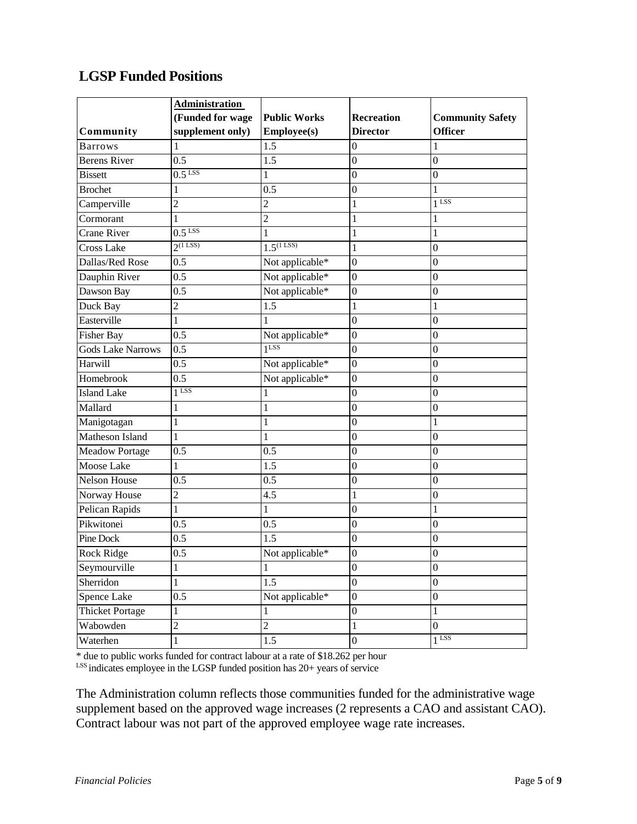# **LGSP Funded Positions**

|                          | <b>Administration</b> |                         |                   |                         |
|--------------------------|-----------------------|-------------------------|-------------------|-------------------------|
|                          | (Funded for wage      | <b>Public Works</b>     | <b>Recreation</b> | <b>Community Safety</b> |
| Community                | supplement only)      | <b>Employee(s)</b>      | <b>Director</b>   | <b>Officer</b>          |
| <b>Barrows</b>           | 1                     | 1.5                     | $\boldsymbol{0}$  | 1                       |
| <b>Berens River</b>      | 0.5                   | 1.5                     | $\boldsymbol{0}$  | $\boldsymbol{0}$        |
| <b>Bissett</b>           | $0.5$ <sup>LSS</sup>  | 1                       | $\overline{0}$    | $\boldsymbol{0}$        |
| <b>Brochet</b>           | 1                     | 0.5                     | $\boldsymbol{0}$  | 1                       |
| Camperville              | $\overline{2}$        | 2                       | 1                 | $1$ LSS                 |
| Cormorant                | 1                     | $\overline{2}$          | $\mathbf{1}$      | $\mathbf{1}$            |
| <b>Crane River</b>       | $0.5$ <sup>LSS</sup>  |                         | $\mathbf{1}$      | 1                       |
| <b>Cross Lake</b>        | $2^{(1}$ LSS)         | $1.5^{(1 \text{ LSS})}$ | $\mathbf{1}$      | $\boldsymbol{0}$        |
| Dallas/Red Rose          | $\overline{0.5}$      | Not applicable*         | $\overline{0}$    | $\overline{0}$          |
| Dauphin River            | 0.5                   | Not applicable*         | $\boldsymbol{0}$  | $\mathbf{0}$            |
| Dawson Bay               | 0.5                   | Not applicable*         | $\boldsymbol{0}$  | $\boldsymbol{0}$        |
| Duck Bay                 | $\overline{c}$        | 1.5                     | $\mathbf{1}$      | $\mathbf{1}$            |
| Easterville              | 1                     |                         | $\boldsymbol{0}$  | $\boldsymbol{0}$        |
| <b>Fisher Bay</b>        | 0.5                   | Not applicable*         | $\boldsymbol{0}$  | $\boldsymbol{0}$        |
| <b>Gods Lake Narrows</b> | 0.5                   | $1$ LSS                 | $\boldsymbol{0}$  | $\boldsymbol{0}$        |
| Harwill                  | 0.5                   | Not applicable*         | $\boldsymbol{0}$  | $\boldsymbol{0}$        |
| Homebrook                | 0.5                   | Not applicable*         | $\boldsymbol{0}$  | $\boldsymbol{0}$        |
| <b>Island Lake</b>       | 1 LSS                 |                         | $\boldsymbol{0}$  | $\boldsymbol{0}$        |
| Mallard                  | 1                     | 1                       | $\boldsymbol{0}$  | $\boldsymbol{0}$        |
| Manigotagan              | $\mathbf{1}$          | 1                       | $\boldsymbol{0}$  | $\mathbf{1}$            |
| <b>Matheson Island</b>   | 1                     |                         | $\boldsymbol{0}$  | $\overline{0}$          |
| <b>Meadow Portage</b>    | 0.5                   | 0.5                     | $\boldsymbol{0}$  | $\boldsymbol{0}$        |
| Moose Lake               | 1                     | 1.5                     | $\boldsymbol{0}$  | $\boldsymbol{0}$        |
| <b>Nelson House</b>      | 0.5                   | 0.5                     | $\boldsymbol{0}$  | $\boldsymbol{0}$        |
| Norway House             | $\overline{c}$        | 4.5                     | $\mathbf{1}$      | $\boldsymbol{0}$        |
| Pelican Rapids           | 1                     | 1                       | $\boldsymbol{0}$  | 1                       |
| Pikwitonei               | 0.5                   | 0.5                     | $\boldsymbol{0}$  | $\overline{0}$          |
| Pine Dock                | 0.5                   | 1.5                     | $\overline{0}$    | $\boldsymbol{0}$        |
| Rock Ridge               | 0.5                   | Not applicable*         | $\boldsymbol{0}$  | $\boldsymbol{0}$        |
| Seymourville             | $\mathbf 1$           | $\mathbf{1}$            | $\boldsymbol{0}$  | $\boldsymbol{0}$        |
| Sherridon                | 1                     | 1.5                     | $\overline{0}$    | $\boldsymbol{0}$        |
| Spence Lake              | 0.5                   | Not applicable*         | $\boldsymbol{0}$  | $\boldsymbol{0}$        |
| <b>Thicket Portage</b>   | 1                     | 1                       | $\boldsymbol{0}$  | $\mathbf{1}$            |
| Wabowden                 | $\overline{c}$        | $\overline{2}$          | $\mathbf{1}$      | $\boldsymbol{0}$        |
| Waterhen                 | $\mathbf{1}$          | 1.5                     | $\boldsymbol{0}$  | $1$ LSS                 |

\* due to public works funded for contract labour at a rate of \$18.262 per hour

LSS indicates employee in the LGSP funded position has 20+ years of service

The Administration column reflects those communities funded for the administrative wage supplement based on the approved wage increases (2 represents a CAO and assistant CAO). Contract labour was not part of the approved employee wage rate increases.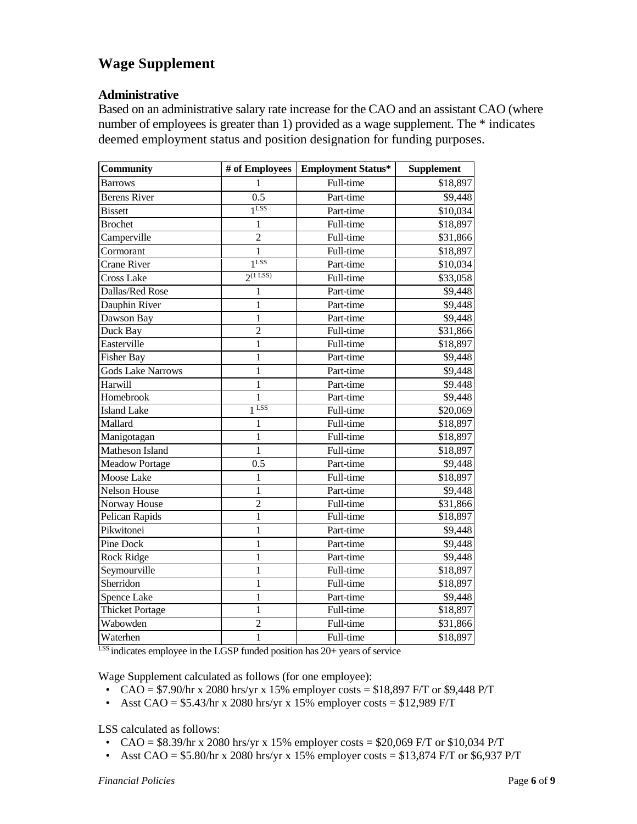# **Wage Supplement**

#### **Administrative**

Based on an administrative salary rate increase for the CAO and an assistant CAO (where number of employees is greater than 1) provided as a wage supplement. The  $*$  indicates deemed employment status and position designation for funding purposes.

| Community                | # of Employees        | <b>Employment Status*</b> | <b>Supplement</b> |  |
|--------------------------|-----------------------|---------------------------|-------------------|--|
| <b>Barrows</b>           | $\mathbf{1}$          | Full-time                 | \$18,897          |  |
| <b>Berens River</b>      | $\overline{0.5}$      | Part-time                 | \$9,448           |  |
| <b>Bissett</b>           | 1 <sub>LSS</sub>      | Part-time                 | \$10,034          |  |
| <b>Brochet</b>           | 1                     | Full-time                 | \$18,897          |  |
| Camperville              | $\overline{c}$        | Full-time                 | \$31,866          |  |
| Cormorant                | $\mathbf{1}$          | Full-time                 | \$18,897          |  |
| Crane River              | 1 <sup>LSS</sup>      | Part-time                 | \$10,034          |  |
| <b>Cross Lake</b>        | $2^{(1 \text{ LSS})}$ | Full-time                 | \$33,058          |  |
| Dallas/Red Rose          | 1                     | Part-time                 | \$9,448           |  |
| Dauphin River            | 1                     | Part-time                 | \$9,448           |  |
| Dawson Bay               | $\mathbf{1}$          | Part-time                 | \$9,448           |  |
| Duck Bay                 | $\overline{c}$        | Full-time                 | \$31,866          |  |
| Easterville              | $\mathbf{1}$          | Full-time                 | \$18,897          |  |
| <b>Fisher Bay</b>        | $\mathbf{1}$          | Part-time                 | \$9,448           |  |
| <b>Gods Lake Narrows</b> | $\mathbf{1}$          | Part-time                 | \$9,448           |  |
| Harwill                  | $\mathbf{1}$          | Part-time                 | \$9.448           |  |
| Homebrook                | $\mathbf{1}$          | Part-time                 | \$9,448           |  |
| <b>Island Lake</b>       | $1$ LSS               | Full-time                 | \$20,069          |  |
| Mallard                  | 1                     | Full-time                 | \$18,897          |  |
| Manigotagan              | 1                     | Full-time                 | \$18,897          |  |
| Matheson Island          | $\mathbf{1}$          | Full-time                 | \$18,897          |  |
| <b>Meadow Portage</b>    | 0.5                   | Part-time                 | \$9,448           |  |
| Moose Lake               | 1                     | Full-time                 | \$18,897          |  |
| Nelson House             | $\mathbf{1}$          | Part-time                 | \$9,448           |  |
| Norway House             | $\overline{2}$        | Full-time                 | \$31,866          |  |
| Pelican Rapids           | $\mathbf{1}$          | Full-time                 | \$18,897          |  |
| Pikwitonei               | 1                     | Part-time                 | \$9,448           |  |
| <b>Pine Dock</b>         | $\mathbf{1}$          | Part-time                 | \$9,448           |  |
| <b>Rock Ridge</b>        | $\mathbf{1}$          | Part-time                 | \$9,448           |  |
| Seymourville             | $\mathbf{1}$          | Full-time                 | \$18,897          |  |
| Sherridon                | $\mathbf{1}$          | Full-time                 | \$18,897          |  |
| Spence Lake              | $\mathbf{1}$          | Part-time                 | \$9,448           |  |
| <b>Thicket Portage</b>   | $\mathbf{1}$          | Full-time                 | \$18,897          |  |
| Wabowden                 | $\overline{2}$        | Full-time                 | \$31,866          |  |
| Waterhen                 | $\mathbf{1}$          | Full-time                 | \$18,897          |  |

LSS indicates employee in the LGSP funded position has 20+ years of service

Wage Supplement calculated as follows (for one employee):

- CAO = \$7.90/hr x 2080 hrs/yr x 15% employer costs = \$18,897 F/T or \$9,448 P/T
- Asst CAO =  $$5.43/hr \times 2080$  hrs/yr x 15% employer costs =  $$12,989$  F/T

LSS calculated as follows:

- CAO =  $$8.39$ /hr x 2080 hrs/yr x 15% employer costs =  $$20,069$  F/T or  $$10,034$  P/T
- Asst CAO =  $$5.80/hr \times 2080$  hrs/yr x 15% employer costs =  $$13,874$  F/T or  $$6,937$  P/T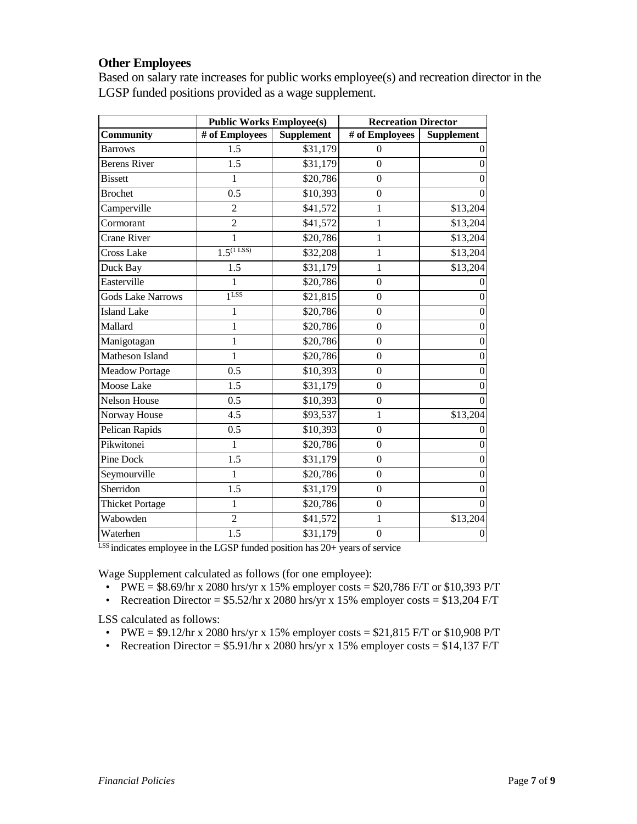#### **Other Employees**

Based on salary rate increases for public works employee(s) and recreation director in the LGSP funded positions provided as a wage supplement.

|                          | <b>Public Works Employee(s)</b> |                   | <b>Recreation Director</b> |                   |  |
|--------------------------|---------------------------------|-------------------|----------------------------|-------------------|--|
| <b>Community</b>         | # of Employees                  | <b>Supplement</b> | # of Employees             | <b>Supplement</b> |  |
| <b>Barrows</b>           | 1.5                             | \$31,179          | $\boldsymbol{0}$           | 0                 |  |
| <b>Berens River</b>      | $\overline{1.5}$                | \$31,179          | $\overline{0}$             | $\overline{0}$    |  |
| <b>Bissett</b>           | 1                               | \$20,786          | $\boldsymbol{0}$           | $\overline{0}$    |  |
| <b>Brochet</b>           | 0.5                             | \$10,393          | $\boldsymbol{0}$           | $\theta$          |  |
| Camperville              | $\overline{c}$                  | \$41,572          | 1                          | \$13,204          |  |
| Cormorant                | $\overline{2}$                  | \$41,572          | $\mathbf{1}$               | \$13,204          |  |
| <b>Crane River</b>       | $\mathbf{1}$                    | \$20,786          | $\mathbf{1}$               | \$13,204          |  |
| <b>Cross Lake</b>        | $1.5^{(1 \text{ LSS})}$         | \$32,208          | $\mathbf{1}$               | \$13,204          |  |
| Duck Bay                 | $\overline{1.5}$                | \$31,179          | $\mathbf{1}$               | \$13,204          |  |
| Easterville              | $\mathbf 1$                     | \$20,786          | $\mathbf{0}$               |                   |  |
| <b>Gods Lake Narrows</b> | 1LSS                            | \$21,815          | $\boldsymbol{0}$           | $\boldsymbol{0}$  |  |
| <b>Island Lake</b>       | 1                               | \$20,786          | $\mathbf{0}$               | $\overline{0}$    |  |
| Mallard                  | $\mathbf{1}$                    | \$20,786          | $\mathbf{0}$               | $\mathbf{0}$      |  |
| Manigotagan              | 1                               | \$20,786          | $\mathbf{0}$               | $\boldsymbol{0}$  |  |
| Matheson Island          | 1                               | \$20,786          | $\boldsymbol{0}$           | $\mathbf{0}$      |  |
| <b>Meadow Portage</b>    | 0.5                             | \$10,393          | $\mathbf{0}$               | $\overline{0}$    |  |
| <b>Moose Lake</b>        | $\overline{1.5}$                | \$31,179          | $\mathbf{0}$               | $\mathbf{0}$      |  |
| <b>Nelson House</b>      | 0.5                             | \$10,393          | $\boldsymbol{0}$           | $\Omega$          |  |
| Norway House             | 4.5                             | \$93,537          | $\mathbf{1}$               | \$13,204          |  |
| Pelican Rapids           | 0.5                             | \$10,393          | $\boldsymbol{0}$           | $\Omega$          |  |
| Pikwitonei               | 1                               | \$20,786          | $\boldsymbol{0}$           | $\mathbf{0}$      |  |
| Pine Dock                | 1.5                             | \$31,179          | $\boldsymbol{0}$           | $\mathbf{0}$      |  |
| Seymourville             | 1                               | \$20,786          | $\mathbf{0}$               | $\overline{0}$    |  |
| Sherridon                | $\overline{1.5}$                | \$31,179          | $\boldsymbol{0}$           | $\overline{0}$    |  |
| <b>Thicket Portage</b>   | $\mathbf{1}$                    | \$20,786          | $\boldsymbol{0}$           | $\theta$          |  |
| Wabowden                 | $\overline{2}$                  | \$41,572          | 1                          | \$13,204          |  |
| Waterhen                 | 1.5                             | \$31,179          | $\boldsymbol{0}$           | $\boldsymbol{0}$  |  |

 $\overline{LSS}$  indicates employee in the LGSP funded position has 20+ years of service

Wage Supplement calculated as follows (for one employee):

- PWE =  $$8.69$ /hr x 2080 hrs/yr x 15% employer costs =  $$20,786$  F/T or \$10,393 P/T
- Recreation Director =  $$5.52/hr$  x 2080 hrs/yr x 15% employer costs =  $$13,204$  F/T

LSS calculated as follows:

- PWE =  $$9.12$ /hr x 2080 hrs/yr x 15% employer costs =  $$21,815$  F/T or  $$10,908$  P/T
- Recreation Director =  $$5.91/hr$  x 2080 hrs/yr x 15% employer costs =  $$14,137$  F/T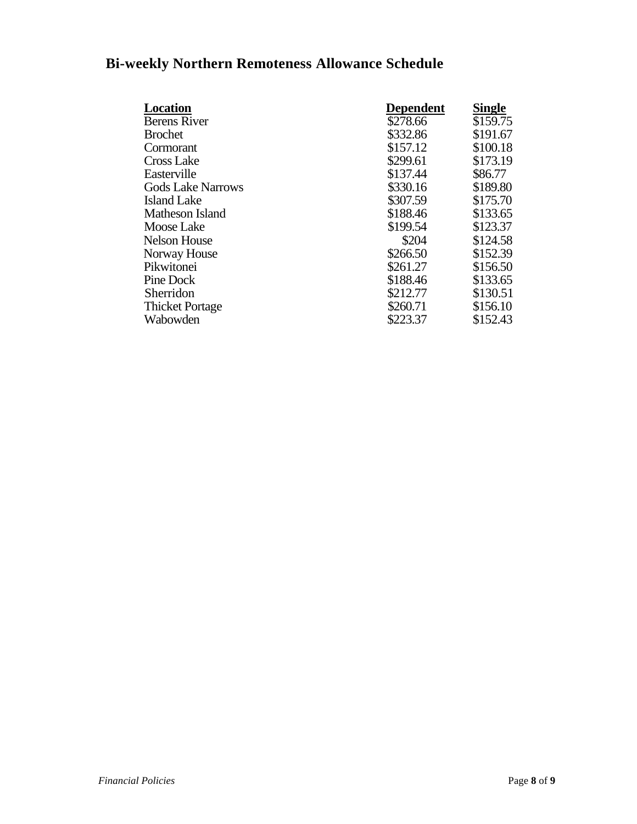# **Bi-weekly Northern Remoteness Allowance Schedule**

| <b>Location</b>          | <b>Dependent</b> | <b>Single</b> |
|--------------------------|------------------|---------------|
| <b>Berens River</b>      | \$278.66         | \$159.75      |
| <b>Brochet</b>           | \$332.86         | \$191.67      |
| Cormorant                | \$157.12         | \$100.18      |
| Cross Lake               | \$299.61         | \$173.19      |
| Easterville              | \$137.44         | \$86.77       |
| <b>Gods Lake Narrows</b> | \$330.16         | \$189.80      |
| Island Lake              | \$307.59         | \$175.70      |
| Matheson Island          | \$188.46         | \$133.65      |
| Moose Lake               | \$199.54         | \$123.37      |
| Nelson House             | \$204            | \$124.58      |
| Norway House             | \$266.50         | \$152.39      |
| Pikwitonei               | \$261.27         | \$156.50      |
| Pine Dock                | \$188.46         | \$133.65      |
| Sherridon                | \$212.77         | \$130.51      |
| <b>Thicket Portage</b>   | \$260.71         | \$156.10      |
| Wabowden                 | \$223.37         | \$152.43      |